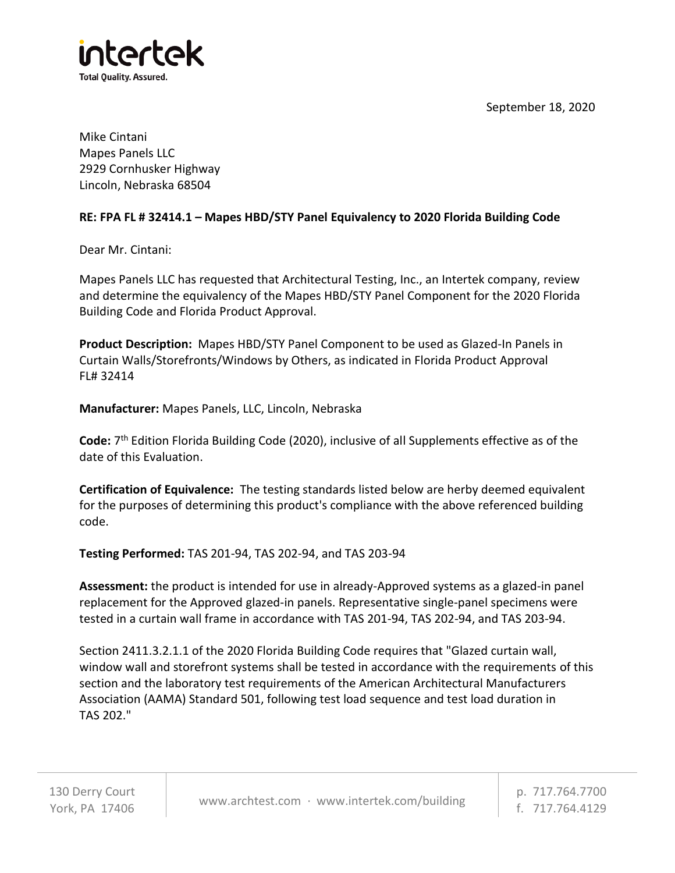September 18, 2020



Mike Cintani Mapes Panels LLC 2929 Cornhusker Highway Lincoln, Nebraska 68504

## **RE: FPA FL # 32414.1 – Mapes HBD/STY Panel Equivalency to 2020 Florida Building Code**

Dear Mr. Cintani:

Mapes Panels LLC has requested that Architectural Testing, Inc., an Intertek company, review and determine the equivalency of the Mapes HBD/STY Panel Component for the 2020 Florida Building Code and Florida Product Approval.

**Product Description:** Mapes HBD/STY Panel Component to be used as Glazed-In Panels in Curtain Walls/Storefronts/Windows by Others, as indicated in Florida Product Approval FL# 32414

**Manufacturer:** Mapes Panels, LLC, Lincoln, Nebraska

Code: 7<sup>th</sup> Edition Florida Building Code (2020), inclusive of all Supplements effective as of the date of this Evaluation.

**Certification of Equivalence:** The testing standards listed below are herby deemed equivalent for the purposes of determining this product's compliance with the above referenced building code.

**Testing Performed:** TAS 201-94, TAS 202-94, and TAS 203-94

**Assessment:** the product is intended for use in already-Approved systems as a glazed-in panel replacement for the Approved glazed-in panels. Representative single-panel specimens were tested in a curtain wall frame in accordance with TAS 201-94, TAS 202-94, and TAS 203-94.

Section 2411.3.2.1.1 of the 2020 Florida Building Code requires that "Glazed curtain wall, window wall and storefront systems shall be tested in accordance with the requirements of this section and the laboratory test requirements of the American Architectural Manufacturers Association (AAMA) Standard 501, following test load sequence and test load duration in TAS 202."